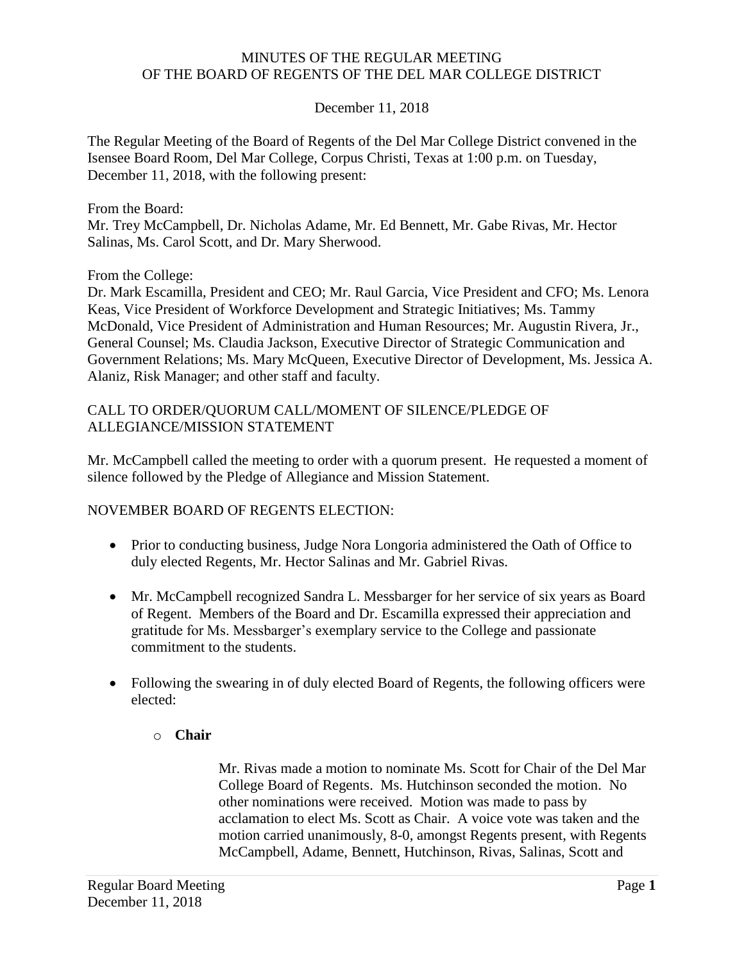#### MINUTES OF THE REGULAR MEETING OF THE BOARD OF REGENTS OF THE DEL MAR COLLEGE DISTRICT

## December 11, 2018

The Regular Meeting of the Board of Regents of the Del Mar College District convened in the Isensee Board Room, Del Mar College, Corpus Christi, Texas at 1:00 p.m. on Tuesday, December 11, 2018, with the following present:

#### From the Board:

Mr. Trey McCampbell, Dr. Nicholas Adame, Mr. Ed Bennett, Mr. Gabe Rivas, Mr. Hector Salinas, Ms. Carol Scott, and Dr. Mary Sherwood.

#### From the College:

Dr. Mark Escamilla, President and CEO; Mr. Raul Garcia, Vice President and CFO; Ms. Lenora Keas, Vice President of Workforce Development and Strategic Initiatives; Ms. Tammy McDonald, Vice President of Administration and Human Resources; Mr. Augustin Rivera, Jr., General Counsel; Ms. Claudia Jackson, Executive Director of Strategic Communication and Government Relations; Ms. Mary McQueen, Executive Director of Development, Ms. Jessica A. Alaniz, Risk Manager; and other staff and faculty.

#### CALL TO ORDER/QUORUM CALL/MOMENT OF SILENCE/PLEDGE OF ALLEGIANCE/MISSION STATEMENT

Mr. McCampbell called the meeting to order with a quorum present. He requested a moment of silence followed by the Pledge of Allegiance and Mission Statement.

## NOVEMBER BOARD OF REGENTS ELECTION:

- Prior to conducting business, Judge Nora Longoria administered the Oath of Office to duly elected Regents, Mr. Hector Salinas and Mr. Gabriel Rivas.
- gratitude for Ms. Messbarger's exemplary service to the College and passionate Mr. McCampbell recognized Sandra L. Messbarger for her service of six years as Board of Regent. Members of the Board and Dr. Escamilla expressed their appreciation and commitment to the students.
- Following the swearing in of duly elected Board of Regents, the following officers were elected:

## o **Chair**

Mr. Rivas made a motion to nominate Ms. Scott for Chair of the Del Mar College Board of Regents. Ms. Hutchinson seconded the motion. No other nominations were received. Motion was made to pass by acclamation to elect Ms. Scott as Chair. A voice vote was taken and the motion carried unanimously, 8-0, amongst Regents present, with Regents McCampbell, Adame, Bennett, Hutchinson, Rivas, Salinas, Scott and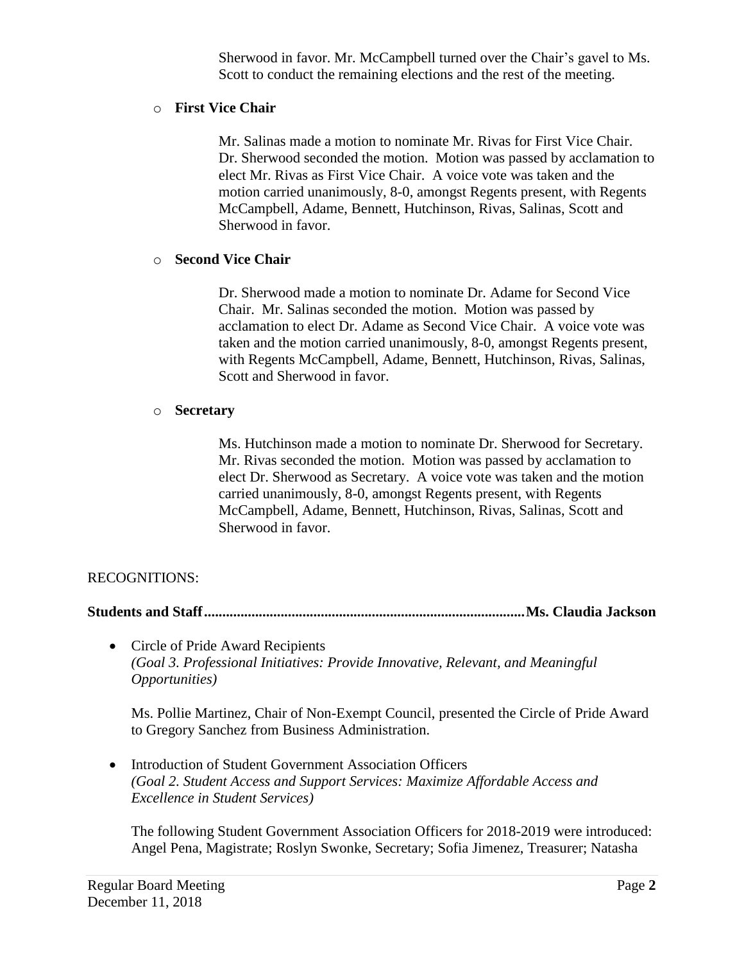Sherwood in favor. Mr. McCampbell turned over the Chair's gavel to Ms. Scott to conduct the remaining elections and the rest of the meeting.

#### o **First Vice Chair**

Mr. Salinas made a motion to nominate Mr. Rivas for First Vice Chair. Dr. Sherwood seconded the motion. Motion was passed by acclamation to elect Mr. Rivas as First Vice Chair. A voice vote was taken and the motion carried unanimously, 8-0, amongst Regents present, with Regents McCampbell, Adame, Bennett, Hutchinson, Rivas, Salinas, Scott and Sherwood in favor.

#### o **Second Vice Chair**

Dr. Sherwood made a motion to nominate Dr. Adame for Second Vice Chair. Mr. Salinas seconded the motion. Motion was passed by acclamation to elect Dr. Adame as Second Vice Chair. A voice vote was taken and the motion carried unanimously, 8-0, amongst Regents present, with Regents McCampbell, Adame, Bennett, Hutchinson, Rivas, Salinas, Scott and Sherwood in favor.

#### o **Secretary**

Ms. Hutchinson made a motion to nominate Dr. Sherwood for Secretary. Mr. Rivas seconded the motion. Motion was passed by acclamation to elect Dr. Sherwood as Secretary. A voice vote was taken and the motion carried unanimously, 8-0, amongst Regents present, with Regents McCampbell, Adame, Bennett, Hutchinson, Rivas, Salinas, Scott and Sherwood in favor.

## RECOGNITIONS:

**Students and [Staff........................................................................................Ms.](https://Staff........................................................................................Ms) Claudia Jackson** 

• Circle of Pride Award Recipients *(Goal 3. Professional Initiatives: Provide Innovative, Relevant, and Meaningful Opportunities)* 

Ms. Pollie Martinez, Chair of Non-Exempt Council, presented the Circle of Pride Award to Gregory Sanchez from Business Administration.

• Introduction of Student Government Association Officers *(Goal 2. Student Access and Support Services: Maximize Affordable Access and Excellence in Student Services)* 

The following Student Government Association Officers for 2018-2019 were introduced: Angel Pena, Magistrate; Roslyn Swonke, Secretary; Sofia Jimenez, Treasurer; Natasha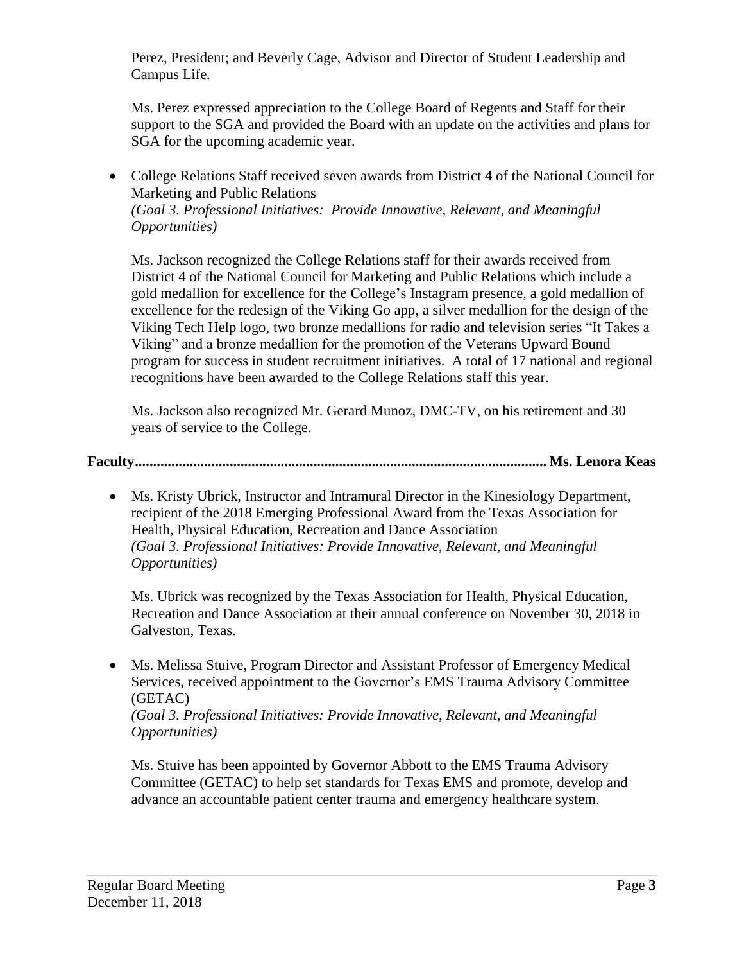Campus Life. Perez, President; and Beverly Cage, Advisor and Director of Student Leadership and

 Ms. Perez expressed appreciation to the College Board of Regents and Staff for their SGA for the upcoming academic year. support to the SGA and provided the Board with an update on the activities and plans for

 College Relations Staff received seven awards from District 4 of the National Council for Marketing and Public Relations *(Goal 3. Professional Initiatives: Provide Innovative, Relevant, and Meaningful Opportunities)* 

 excellence for the redesign of the Viking Go app, a silver medallion for the design of the Viking Tech Help logo, two bronze medallions for radio and television series "It Takes a Ms. Jackson recognized the College Relations staff for their awards received from District 4 of the National Council for Marketing and Public Relations which include a gold medallion for excellence for the College's Instagram presence, a gold medallion of Viking" and a bronze medallion for the promotion of the Veterans Upward Bound program for success in student recruitment initiatives. A total of 17 national and regional recognitions have been awarded to the College Relations staff this year.

Ms. Jackson also recognized Mr. Gerard Munoz, DMC-TV, on his retirement and 30 years of service to the College.

**Faculty................................................................................................................. Ms. Lenora Keas** 

 Ms. Kristy Ubrick, Instructor and Intramural Director in the Kinesiology Department, recipient of the 2018 Emerging Professional Award from the Texas Association for Health, Physical Education, Recreation and Dance Association *(Goal 3. Professional Initiatives: Provide Innovative, Relevant, and Meaningful Opportunities)* 

Ms. Ubrick was recognized by the Texas Association for Health, Physical Education, Recreation and Dance Association at their annual conference on November 30, 2018 in Galveston, Texas.

 Services, received appointment to the Governor's EMS Trauma Advisory Committee Ms. Melissa Stuive, Program Director and Assistant Professor of Emergency Medical (GETAC)

*(Goal 3. Professional Initiatives: Provide Innovative, Relevant, and Meaningful Opportunities)* 

 Ms. Stuive has been appointed by Governor Abbott to the EMS Trauma Advisory Committee (GETAC) to help set standards for Texas EMS and promote, develop and advance an accountable patient center trauma and emergency healthcare system.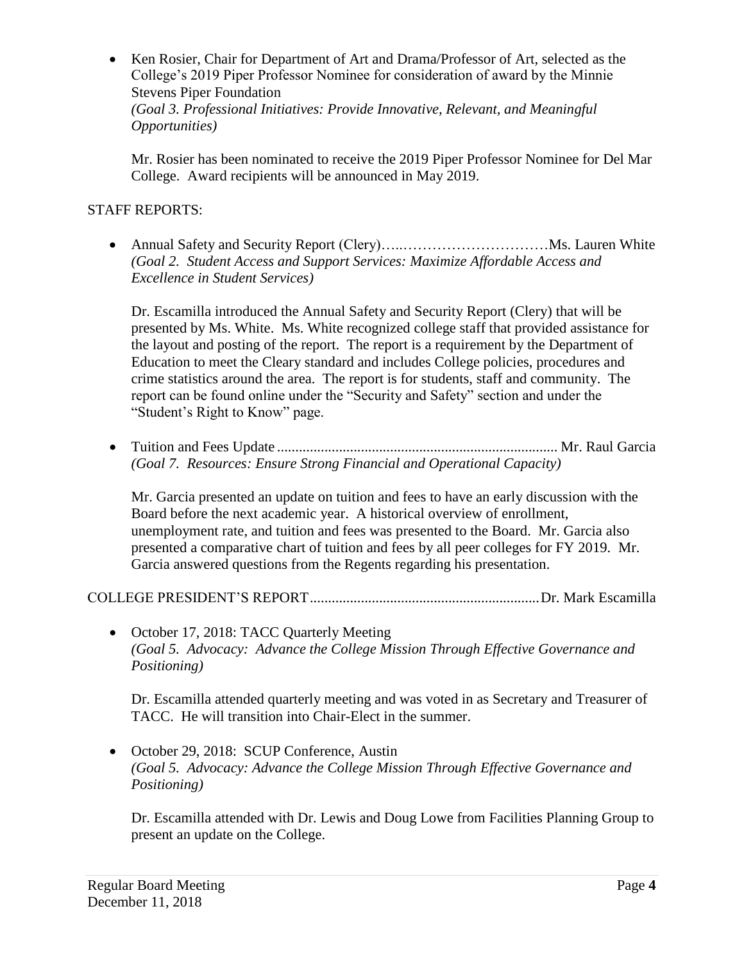• Ken Rosier, Chair for Department of Art and Drama/Professor of Art, selected as the College's 2019 Piper Professor Nominee for consideration of award by the Minnie Stevens Piper Foundation

*(Goal 3. Professional Initiatives: Provide Innovative, Relevant, and Meaningful Opportunities)* 

Mr. Rosier has been nominated to receive the 2019 Piper Professor Nominee for Del Mar College. Award recipients will be announced in May 2019.

## STAFF REPORTS:

 Annual Safety and Security Report (Clery)…..…………………………Ms. Lauren White *(Goal 2. Student Access and Support Services: Maximize Affordable Access and Excellence in Student Services)* 

 Dr. Escamilla introduced the Annual Safety and Security Report (Clery) that will be presented by Ms. White. Ms. White recognized college staff that provided assistance for the layout and posting of the report. The report is a requirement by the Department of Education to meet the Cleary standard and includes College policies, procedures and crime statistics around the area. The report is for students, staff and community. The report can be found online under the "Security and Safety" section and under the "Student's Right to Know" page.

 Tuition and Fees Update ............................................................................. Mr. Raul Garcia *(Goal 7. Resources: Ensure Strong Financial and Operational Capacity)* 

 presented a comparative chart of tuition and fees by all peer colleges for FY 2019. Mr. Mr. Garcia presented an update on tuition and fees to have an early discussion with the Board before the next academic year. A historical overview of enrollment, unemployment rate, and tuition and fees was presented to the Board. Mr. Garcia also Garcia answered questions from the Regents regarding his presentation.

COLLEGE PRESIDENT'S [REPORT...............................................................Dr.](https://REPORT...............................................................Dr) Mark Escamilla

• October 17, 2018: TACC Quarterly Meeting *(Goal 5. Advocacy: Advance the College Mission Through Effective Governance and Positioning)* 

Dr. Escamilla attended quarterly meeting and was voted in as Secretary and Treasurer of TACC. He will transition into Chair-Elect in the summer.

• October 29, 2018: SCUP Conference, Austin *(Goal 5. Advocacy: Advance the College Mission Through Effective Governance and Positioning)* 

 Dr. Escamilla attended with Dr. Lewis and Doug Lowe from Facilities Planning Group to present an update on the College.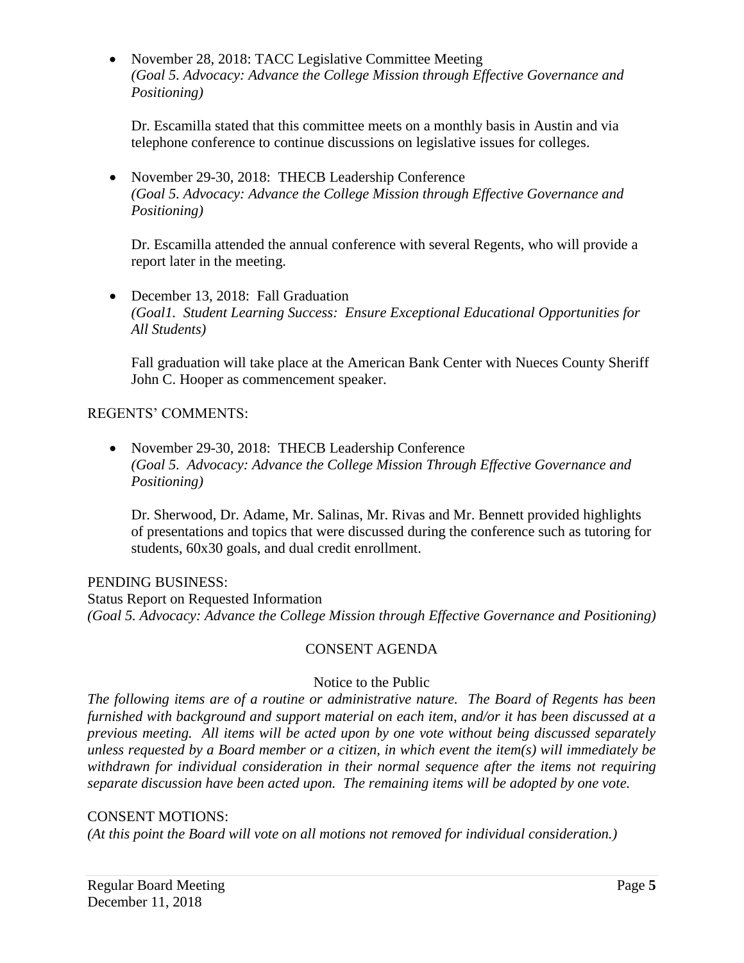• November 28, 2018: TACC Legislative Committee Meeting *(Goal 5. Advocacy: Advance the College Mission through Effective Governance and Positioning)* 

Dr. Escamilla stated that this committee meets on a monthly basis in Austin and via telephone conference to continue discussions on legislative issues for colleges.

• November 29-30, 2018: THECB Leadership Conference *(Goal 5. Advocacy: Advance the College Mission through Effective Governance and Positioning)* 

Dr. Escamilla attended the annual conference with several Regents, who will provide a report later in the meeting.

• December 13, 2018: Fall Graduation *(Goal1. Student Learning Success: Ensure Exceptional Educational Opportunities for All Students)* 

Fall graduation will take place at the American Bank Center with Nueces County Sheriff John C. Hooper as commencement speaker.

## REGENTS' COMMENTS:

• November 29-30, 2018: THECB Leadership Conference *(Goal 5. Advocacy: Advance the College Mission Through Effective Governance and Positioning)* 

Dr. Sherwood, Dr. Adame, Mr. Salinas, Mr. Rivas and Mr. Bennett provided highlights of presentations and topics that were discussed during the conference such as tutoring for students, 60x30 goals, and dual credit enrollment.

## PENDING BUSINESS:

 *(Goal 5. Advocacy: Advance the College Mission through Effective Governance and Positioning)*  Status Report on Requested Information

# CONSENT AGENDA

## Notice to the Public

 *The following items are of a routine or administrative nature. The Board of Regents has been furnished with background and support material on each item, and/or it has been discussed at a previous meeting. All items will be acted upon by one vote without being discussed separately unless requested by a Board member or a citizen, in which event the item(s) will immediately be withdrawn for individual consideration in their normal sequence after the items not requiring separate discussion have been acted upon. The remaining items will be adopted by one vote.* 

## CONSENT MOTIONS:

*(At this point the Board will vote on all motions not removed for individual consideration.)*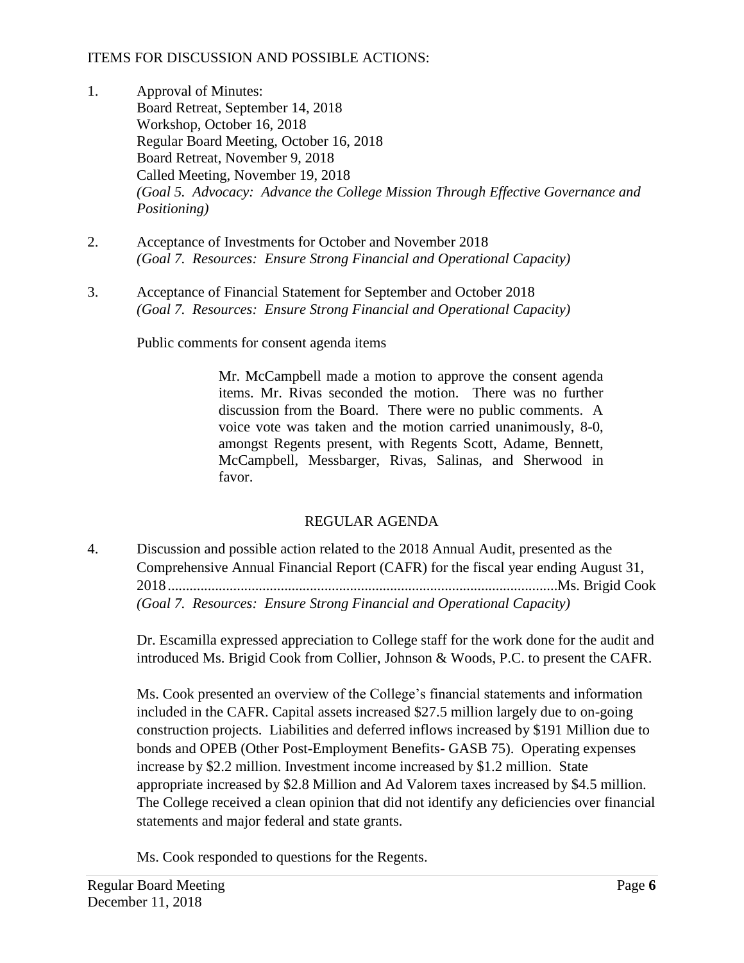## ITEMS FOR DISCUSSION AND POSSIBLE ACTIONS:

- 1. Approval of Minutes: Board Retreat, September 14, 2018 Workshop, October 16, 2018 Regular Board Meeting, October 16, 2018 Board Retreat, November 9, 2018 Called Meeting, November 19, 2018 *(Goal 5. Advocacy: Advance the College Mission Through Effective Governance and Positioning)*
- 2. Acceptance of Investments for October and November 2018 *(Goal 7. Resources: Ensure Strong Financial and Operational Capacity)*
- 3. Acceptance of Financial Statement for September and October 2018 *(Goal 7. Resources: Ensure Strong Financial and Operational Capacity)*

Public comments for consent agenda items

 Mr. McCampbell made a motion to approve the consent agenda items. Mr. Rivas seconded the motion. There was no further discussion from the Board. There were no public comments. A McCampbell, Messbarger, Rivas, Salinas, and Sherwood in voice vote was taken and the motion carried unanimously, 8-0, amongst Regents present, with Regents Scott, Adame, Bennett, favor.

# REGULAR AGENDA

4. Discussion and possible action related to the 2018 Annual Audit, presented as the Comprehensive Annual Financial Report (CAFR) for the fiscal year ending August 31, [2018...........................................................................................................Ms](https://2018...........................................................................................................Ms). Brigid Cook *(Goal 7. Resources: Ensure Strong Financial and Operational Capacity)* 

Dr. Escamilla expressed appreciation to College staff for the work done for the audit and introduced Ms. Brigid Cook from Collier, Johnson & Woods, P.C. to present the CAFR.

 bonds and OPEB (Other Post-Employment Benefits- GASB 75). Operating expenses Ms. Cook presented an overview of the College's financial statements and information included in the CAFR. Capital assets increased \$27.5 million largely due to on-going construction projects. Liabilities and deferred inflows increased by \$191 Million due to increase by \$2.2 million. Investment income increased by \$1.2 million. State appropriate increased by \$2.8 Million and Ad Valorem taxes increased by \$4.5 million. The College received a clean opinion that did not identify any deficiencies over financial statements and major federal and state grants.

Ms. Cook responded to questions for the Regents.